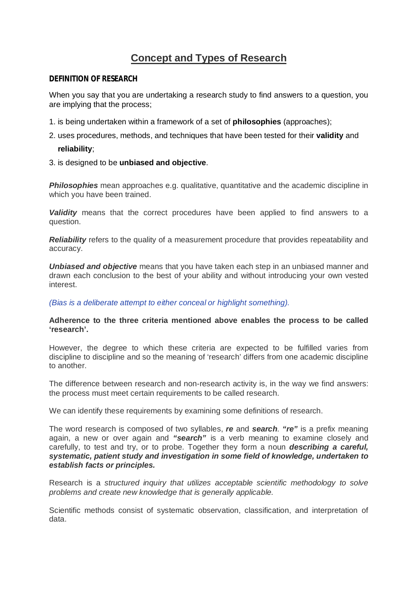# **Concept and Types of Research**

#### **DEFINITION OF RESEARCH**

When you say that you are undertaking a research study to find answers to a question, you are implying that the process;

- 1. is being undertaken within a framework of a set of **philosophies** (approaches);
- 2. uses procedures, methods, and techniques that have been tested for their **validity** and

#### **reliability**;

3. is designed to be **unbiased and objective**.

**Philosophies** mean approaches e.g. qualitative, quantitative and the academic discipline in which you have been trained.

*Validity* means that the correct procedures have been applied to find answers to a question.

*Reliability* refers to the quality of a measurement procedure that provides repeatability and accuracy.

*Unbiased and objective* means that you have taken each step in an unbiased manner and drawn each conclusion to the best of your ability and without introducing your own vested interest.

*(Bias is a deliberate attempt to either conceal or highlight something).*

**Adherence to the three criteria mentioned above enables the process to be called 'research'.**

However, the degree to which these criteria are expected to be fulfilled varies from discipline to discipline and so the meaning of 'research' differs from one academic discipline to another.

The difference between research and non-research activity is, in the way we find answers: the process must meet certain requirements to be called research.

We can identify these requirements by examining some definitions of research.

The word research is composed of two syllables, *re* and *search. "re"* is a prefix meaning again, a new or over again and *"search"* is a verb meaning to examine closely and carefully, to test and try, or to probe. Together they form a noun *describing a careful, systematic, patient study and investigation in some field of knowledge, undertaken to establish facts or principles.*

Research is a *structured inquiry that utilizes acceptable scientific methodology to solve problems and create new knowledge that is generally applicable.*

Scientific methods consist of systematic observation, classification, and interpretation of data.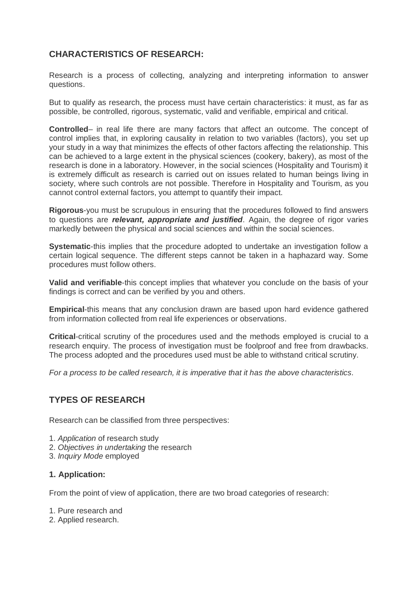# **CHARACTERISTICS OF RESEARCH:**

Research is a process of collecting, analyzing and interpreting information to answer questions.

But to qualify as research, the process must have certain characteristics: it must, as far as possible, be controlled, rigorous, systematic, valid and verifiable, empirical and critical.

**Controlled**– in real life there are many factors that affect an outcome. The concept of control implies that, in exploring causality in relation to two variables (factors), you set up your study in a way that minimizes the effects of other factors affecting the relationship. This can be achieved to a large extent in the physical sciences (cookery, bakery), as most of the research is done in a laboratory. However, in the social sciences (Hospitality and Tourism) it is extremely difficult as research is carried out on issues related to human beings living in society, where such controls are not possible. Therefore in Hospitality and Tourism, as you cannot control external factors, you attempt to quantify their impact.

**Rigorous**-you must be scrupulous in ensuring that the procedures followed to find answers to questions are *relevant, appropriate and justified*. Again, the degree of rigor varies markedly between the physical and social sciences and within the social sciences.

**Systematic**-this implies that the procedure adopted to undertake an investigation follow a certain logical sequence. The different steps cannot be taken in a haphazard way. Some procedures must follow others.

**Valid and verifiable**-this concept implies that whatever you conclude on the basis of your findings is correct and can be verified by you and others.

**Empirical**-this means that any conclusion drawn are based upon hard evidence gathered from information collected from real life experiences or observations.

**Critical**-critical scrutiny of the procedures used and the methods employed is crucial to a research enquiry. The process of investigation must be foolproof and free from drawbacks. The process adopted and the procedures used must be able to withstand critical scrutiny.

*For a process to be called research, it is imperative that it has the above characteristics.*

# **TYPES OF RESEARCH**

Research can be classified from three perspectives:

- 1. *Application* of research study
- 2. *Objectives in undertaking* the research
- 3. *Inquiry Mode* employed

#### **1. Application:**

From the point of view of application, there are two broad categories of research:

- 1. Pure research and
- 2. Applied research.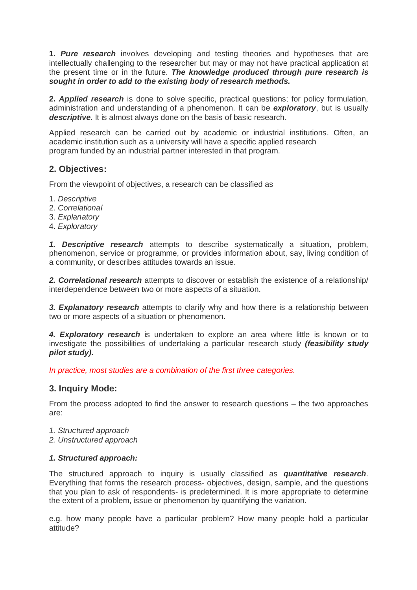**1.** *Pure research* involves developing and testing theories and hypotheses that are intellectually challenging to the researcher but may or may not have practical application at the present time or in the future. *The knowledge produced through pure research is sought in order to add to the existing body of research methods.*

**2.** *Applied research* is done to solve specific, practical questions; for policy formulation, administration and understanding of a phenomenon. It can be *exploratory*, but is usually *descriptive*. It is almost always done on the basis of basic research.

Applied research can be carried out by academic or industrial institutions. Often, an academic institution such as a university will have a specific applied research program funded by an industrial partner interested in that program.

## **2. Objectives:**

From the viewpoint of objectives, a research can be classified as

- 1. *Descriptive*
- 2. *Correlational*
- 3. *Explanatory*
- 4. *Exploratory*

*1. Descriptive research* attempts to describe systematically a situation, problem, phenomenon, service or programme, or provides information about, say, living condition of a community, or describes attitudes towards an issue.

*2. Correlational research* attempts to discover or establish the existence of a relationship/ interdependence between two or more aspects of a situation.

**3. Explanatory research** attempts to clarify why and how there is a relationship between two or more aspects of a situation or phenomenon.

*4. Exploratory research* is undertaken to explore an area where little is known or to investigate the possibilities of undertaking a particular research study *(feasibility study pilot study).*

*In practice, most studies are a combination of the first three categories.*

### **3. Inquiry Mode:**

From the process adopted to find the answer to research questions – the two approaches are:

- *1. Structured approach*
- *2. Unstructured approach*

#### *1. Structured approach:*

The structured approach to inquiry is usually classified as *quantitative research*. Everything that forms the research process- objectives, design, sample, and the questions that you plan to ask of respondents- is predetermined. It is more appropriate to determine the extent of a problem, issue or phenomenon by quantifying the variation.

e.g. how many people have a particular problem? How many people hold a particular attitude?